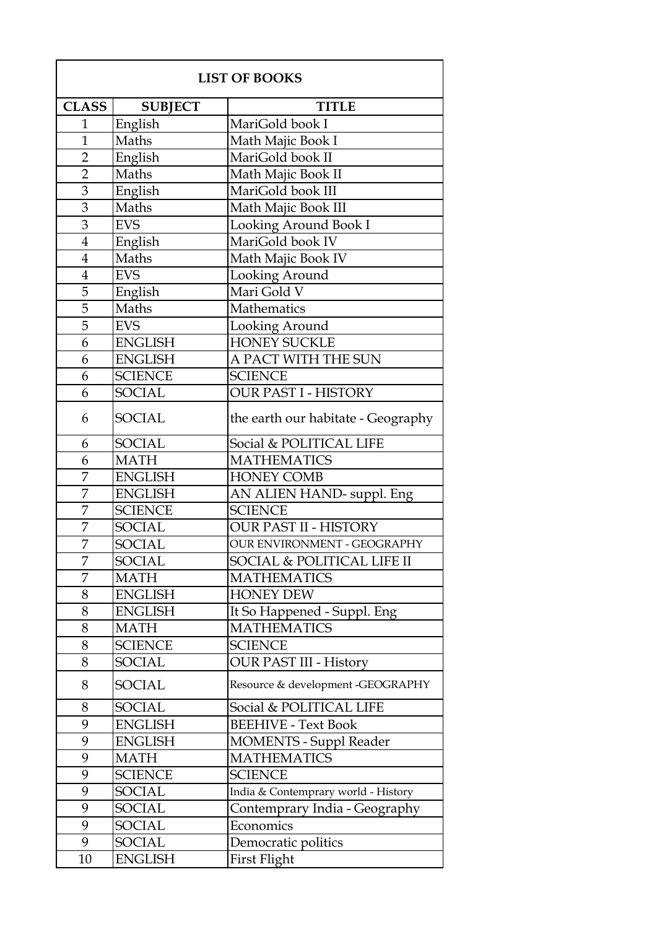| <b>LIST OF BOOKS</b> |                |                                     |
|----------------------|----------------|-------------------------------------|
| <b>CLASS</b>         | <b>SUBJECT</b> | <b>TITLE</b>                        |
| $\mathbf{1}$         | English        | MariGold book I                     |
| $\mathbf{1}$         | Maths          | Math Majic Book I                   |
| $\overline{2}$       | English        | MariGold book II                    |
| $\overline{2}$       | Maths          | Math Majic Book II                  |
| 3                    | English        | MariGold book III                   |
| 3                    | Maths          | Math Majic Book III                 |
| 3                    | <b>EVS</b>     | Looking Around Book I               |
| $\overline{4}$       | English        | MariGold book IV                    |
| $\overline{4}$       | Maths          | Math Majic Book IV                  |
| $\overline{4}$       | <b>EVS</b>     | Looking Around                      |
| 5                    | English        | Mari Gold V                         |
| 5                    | Maths          | Mathematics                         |
| 5                    | <b>EVS</b>     | Looking Around                      |
| 6                    | <b>ENGLISH</b> | <b>HONEY SUCKLE</b>                 |
| 6                    | <b>ENGLISH</b> | A PACT WITH THE SUN                 |
| 6                    | <b>SCIENCE</b> | <b>SCIENCE</b>                      |
| 6                    | <b>SOCIAL</b>  | <b>OUR PAST I - HISTORY</b>         |
| 6                    | <b>SOCIAL</b>  | the earth our habitate - Geography  |
| 6                    | <b>SOCIAL</b>  | Social & POLITICAL LIFE             |
| 6                    | <b>MATH</b>    | <b>MATHEMATICS</b>                  |
| 7                    | <b>ENGLISH</b> | <b>HONEY COMB</b>                   |
| 7                    | <b>ENGLISH</b> | AN ALIEN HAND- suppl. Eng           |
| 7                    | <b>SCIENCE</b> | <b>SCIENCE</b>                      |
| 7                    | <b>SOCIAL</b>  | <b>OUR PAST II - HISTORY</b>        |
| 7                    | <b>SOCIAL</b>  | <b>OUR ENVIRONMENT - GEOGRAPHY</b>  |
| 7                    | <b>SOCIAL</b>  | SOCIAL & POLITICAL LIFE II          |
| 7                    | <b>MATH</b>    | <b>MATHEMATICS</b>                  |
| 8                    | <b>ENGLISH</b> | <b>HONEY DEW</b>                    |
| 8                    | <b>ENGLISH</b> | It So Happened - Suppl. Eng         |
| 8                    | <b>MATH</b>    | <b>MATHEMATICS</b>                  |
| 8                    | <b>SCIENCE</b> | <b>SCIENCE</b>                      |
| 8                    | <b>SOCIAL</b>  | <b>OUR PAST III - History</b>       |
| 8                    | SOCIAL         | Resource & development -GEOGRAPHY   |
| 8                    | <b>SOCIAL</b>  | Social & POLITICAL LIFE             |
| 9                    | <b>ENGLISH</b> | <b>BEEHIVE - Text Book</b>          |
| 9                    | <b>ENGLISH</b> | <b>MOMENTS - Suppl Reader</b>       |
| 9                    | <b>MATH</b>    | <b>MATHEMATICS</b>                  |
| 9                    | <b>SCIENCE</b> | <b>SCIENCE</b>                      |
| 9                    | SOCIAL         | India & Contemprary world - History |
| 9                    | <b>SOCIAL</b>  | Contemprary India - Geography       |
| 9                    | <b>SOCIAL</b>  | Economics                           |
| 9                    | <b>SOCIAL</b>  | Democratic politics                 |
| 10                   | <b>ENGLISH</b> | First Flight                        |